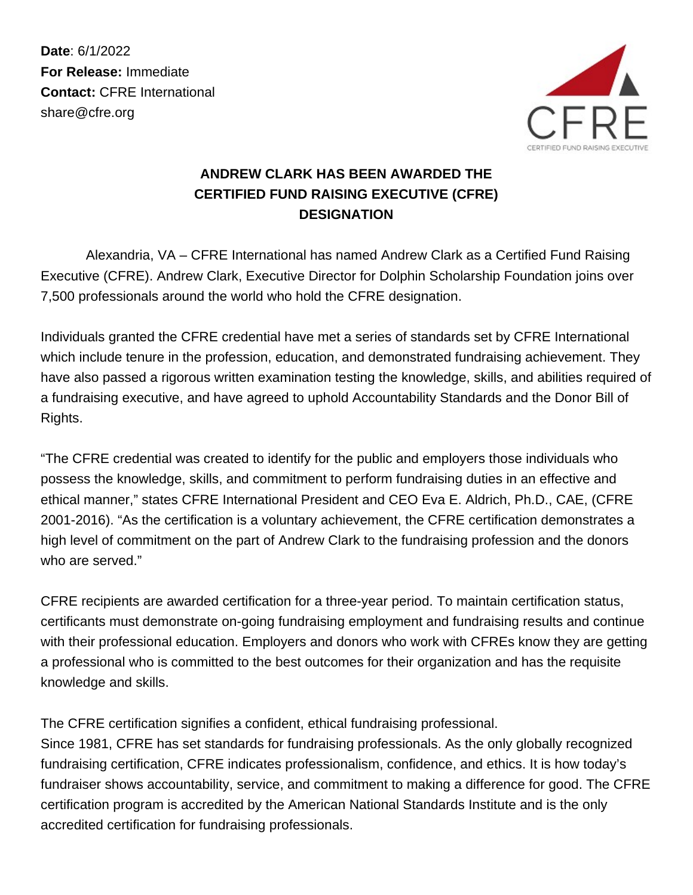**Date**: 6/1/2022 **For Release:** Immediate **Contact:** CFRE International share@cfre.org



## **ANDREW CLARK HAS BEEN AWARDED THE CERTIFIED FUND RAISING EXECUTIVE (CFRE) DESIGNATION**

 Alexandria, VA – CFRE International has named Andrew Clark as a Certified Fund Raising Executive (CFRE). Andrew Clark, Executive Director for Dolphin Scholarship Foundation joins over 7,500 professionals around the world who hold the CFRE designation.

Individuals granted the CFRE credential have met a series of standards set by CFRE International which include tenure in the profession, education, and demonstrated fundraising achievement. They have also passed a rigorous written examination testing the knowledge, skills, and abilities required of a fundraising executive, and have agreed to uphold Accountability Standards and the Donor Bill of Rights.

"The CFRE credential was created to identify for the public and employers those individuals who possess the knowledge, skills, and commitment to perform fundraising duties in an effective and ethical manner," states CFRE International President and CEO Eva E. Aldrich, Ph.D., CAE, (CFRE 2001-2016). "As the certification is a voluntary achievement, the CFRE certification demonstrates a high level of commitment on the part of Andrew Clark to the fundraising profession and the donors who are served."

CFRE recipients are awarded certification for a three-year period. To maintain certification status, certificants must demonstrate on-going fundraising employment and fundraising results and continue with their professional education. Employers and donors who work with CFREs know they are getting a professional who is committed to the best outcomes for their organization and has the requisite knowledge and skills.

The CFRE certification signifies a confident, ethical fundraising professional.

Since 1981, CFRE has set standards for fundraising professionals. As the only globally recognized fundraising certification, CFRE indicates professionalism, confidence, and ethics. It is how today's fundraiser shows accountability, service, and commitment to making a difference for good. The CFRE certification program is accredited by the American National Standards Institute and is the only accredited certification for fundraising professionals.